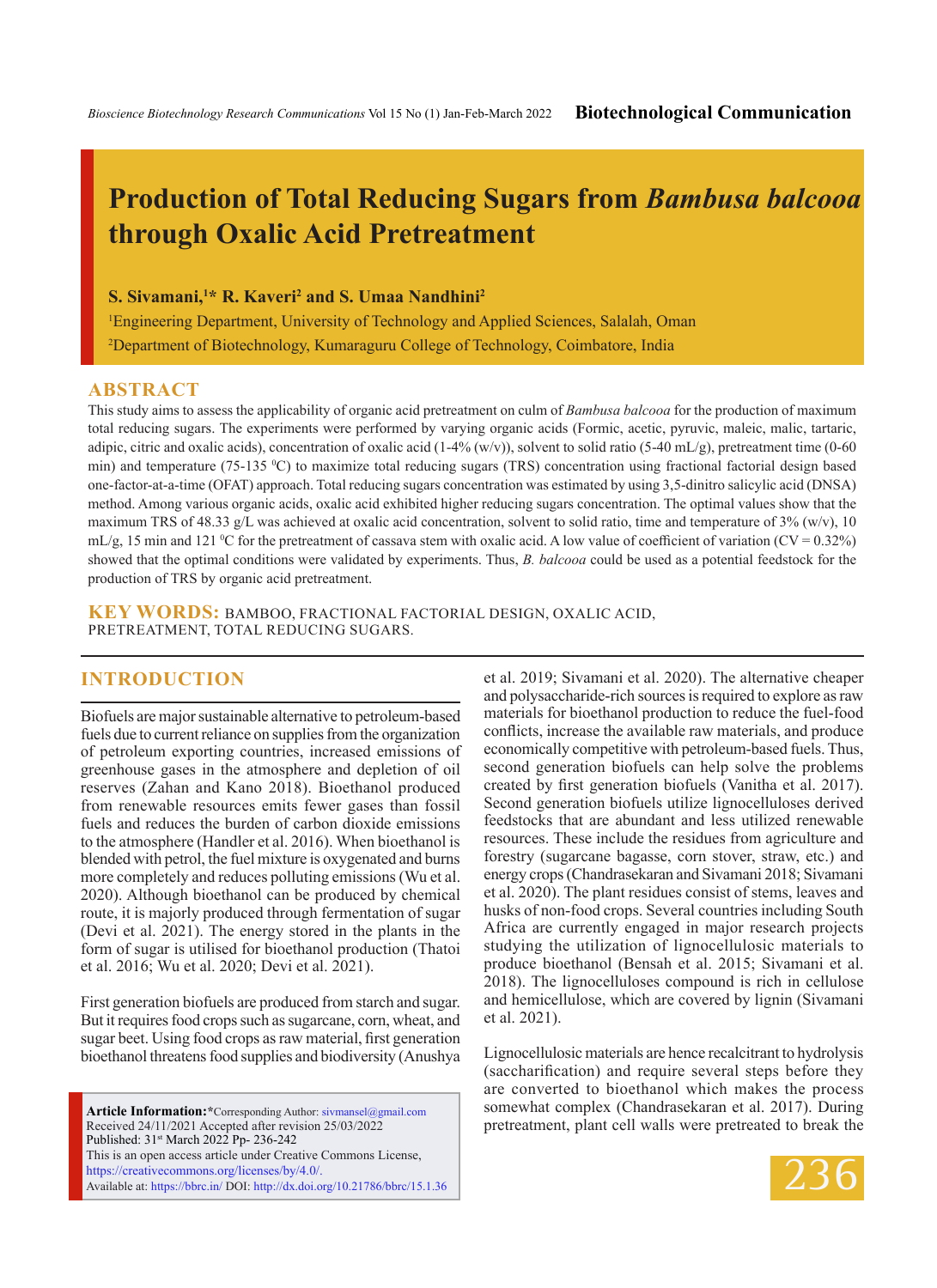# **Production of Total Reducing Sugars from** *Bambusa balcooa* **through Oxalic Acid Pretreatment**

**S. Sivamani,1 \* R. Kaveri2 and S. Umaa Nandhini2**

1 Engineering Department, University of Technology and Applied Sciences, Salalah, Oman 2 Department of Biotechnology, Kumaraguru College of Technology, Coimbatore, India

### **ABSTRACT**

This study aims to assess the applicability of organic acid pretreatment on culm of *Bambusa balcooa* for the production of maximum total reducing sugars. The experiments were performed by varying organic acids (Formic, acetic, pyruvic, maleic, malic, tartaric, adipic, citric and oxalic acids), concentration of oxalic acid  $(1-4\% (w/v))$ , solvent to solid ratio (5-40 mL/g), pretreatment time (0-60 min) and temperature (75-135 °C) to maximize total reducing sugars (TRS) concentration using fractional factorial design based one-factor-at-a-time (OFAT) approach. Total reducing sugars concentration was estimated by using 3,5-dinitro salicylic acid (DNSA) method. Among various organic acids, oxalic acid exhibited higher reducing sugars concentration. The optimal values show that the maximum TRS of 48.33 g/L was achieved at oxalic acid concentration, solvent to solid ratio, time and temperature of  $3\%$  (w/v), 10  $mL/g$ , 15 min and 121 °C for the pretreatment of cassava stem with oxalic acid. A low value of coefficient of variation (CV = 0.32%) showed that the optimal conditions were validated by experiments. Thus, *B. balcooa* could be used as a potential feedstock for the production of TRS by organic acid pretreatment.

**KEY WORDS:** Bamboo, Fractional factorial design, Oxalic acid, Pretreatment, Total reducing sugars.

## **INTRODUCTION**

Biofuels are major sustainable alternative to petroleum-based fuels due to current reliance on supplies from the organization of petroleum exporting countries, increased emissions of greenhouse gases in the atmosphere and depletion of oil reserves (Zahan and Kano 2018). Bioethanol produced from renewable resources emits fewer gases than fossil fuels and reduces the burden of carbon dioxide emissions to the atmosphere (Handler et al. 2016). When bioethanol is blended with petrol, the fuel mixture is oxygenated and burns more completely and reduces polluting emissions (Wu et al. 2020). Although bioethanol can be produced by chemical route, it is majorly produced through fermentation of sugar (Devi et al. 2021). The energy stored in the plants in the form of sugar is utilised for bioethanol production (Thatoi et al. 2016; Wu et al. 2020; Devi et al. 2021).

First generation biofuels are produced from starch and sugar. But it requires food crops such as sugarcane, corn, wheat, and sugar beet. Using food crops as raw material, first generation bioethanol threatens food supplies and biodiversity (Anushya

**Article Information:\***Corresponding Author: sivmansel@gmail.com Received 24/11/2021 Accepted after revision 25/03/2022 Published: 31st March 2022 Pp- 236-242 This is an open access article under Creative Commons License, https://creativecommons.org/licenses/by/4.0/. Available at: https://bbrc.in/ DOI: http://dx.doi.org/10.21786/bbrc/15.1.36 et al. 2019; Sivamani et al. 2020). The alternative cheaper and polysaccharide-rich sources is required to explore as raw materials for bioethanol production to reduce the fuel-food conflicts, increase the available raw materials, and produce economically competitive with petroleum-based fuels. Thus, second generation biofuels can help solve the problems created by first generation biofuels (Vanitha et al. 2017). Second generation biofuels utilize lignocelluloses derived feedstocks that are abundant and less utilized renewable resources. These include the residues from agriculture and forestry (sugarcane bagasse, corn stover, straw, etc.) and energy crops (Chandrasekaran and Sivamani 2018; Sivamani et al. 2020). The plant residues consist of stems, leaves and husks of non-food crops. Several countries including South Africa are currently engaged in major research projects studying the utilization of lignocellulosic materials to produce bioethanol (Bensah et al. 2015; Sivamani et al. 2018). The lignocelluloses compound is rich in cellulose and hemicellulose, which are covered by lignin (Sivamani et al. 2021).

Lignocellulosic materials are hence recalcitrant to hydrolysis (saccharification) and require several steps before they are converted to bioethanol which makes the process somewhat complex (Chandrasekaran et al. 2017). During pretreatment, plant cell walls were pretreated to break the

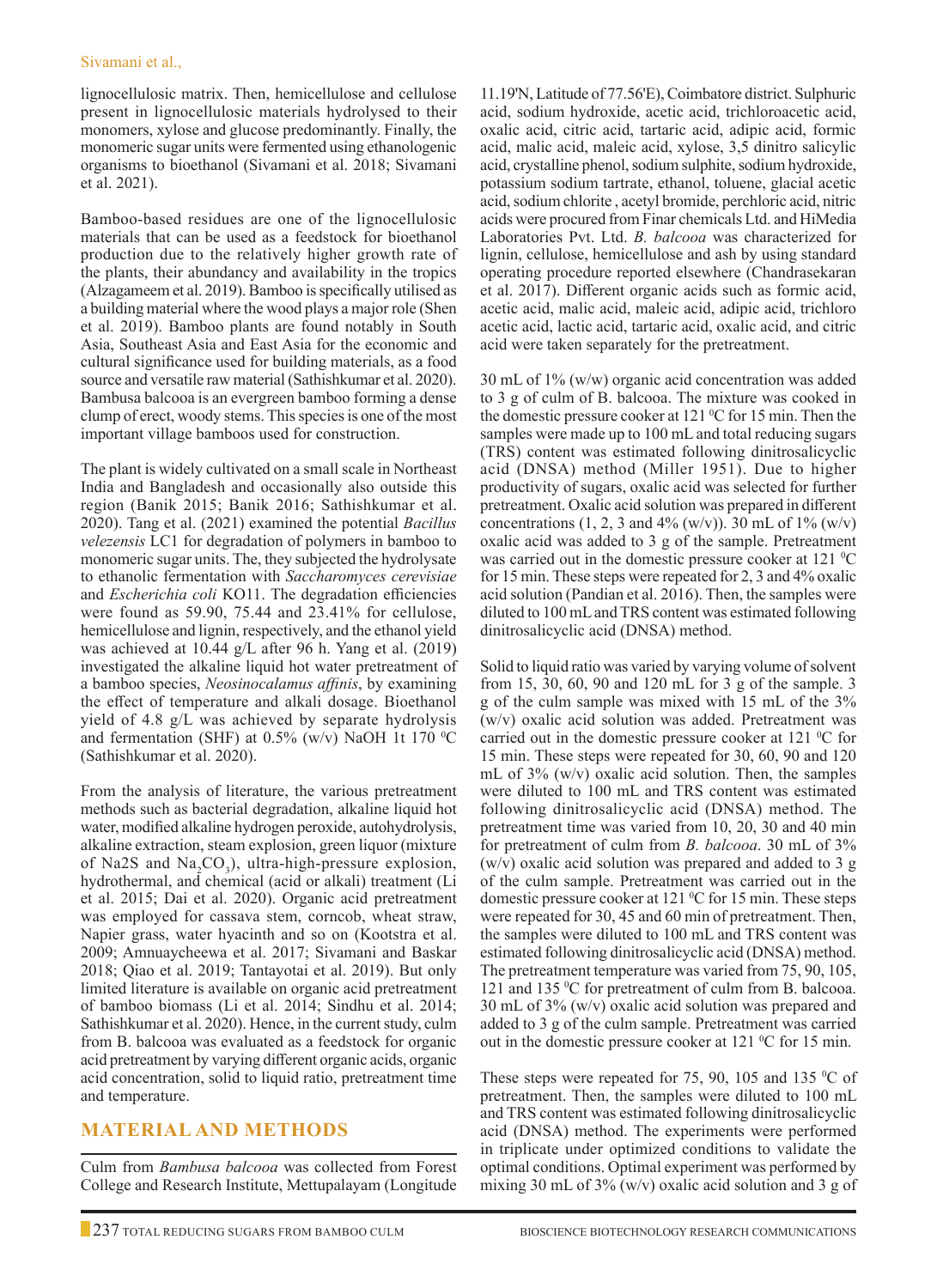lignocellulosic matrix. Then, hemicellulose and cellulose present in lignocellulosic materials hydrolysed to their monomers, xylose and glucose predominantly. Finally, the monomeric sugar units were fermented using ethanologenic organisms to bioethanol (Sivamani et al. 2018; Sivamani et al. 2021).

Bamboo-based residues are one of the lignocellulosic materials that can be used as a feedstock for bioethanol production due to the relatively higher growth rate of the plants, their abundancy and availability in the tropics (Alzagameem et al. 2019). Bamboo is specifically utilised as a building material where the wood plays a major role (Shen et al. 2019). Bamboo plants are found notably in South Asia, Southeast Asia and East Asia for the economic and cultural significance used for building materials, as a food source and versatile raw material (Sathishkumar et al. 2020). Bambusa balcooa is an evergreen bamboo forming a dense clump of erect, woody stems. This species is one of the most important village bamboos used for construction.

The plant is widely cultivated on a small scale in Northeast India and Bangladesh and occasionally also outside this region (Banik 2015; Banik 2016; Sathishkumar et al. 2020). Tang et al. (2021) examined the potential *Bacillus velezensis* LC1 for degradation of polymers in bamboo to monomeric sugar units. The, they subjected the hydrolysate to ethanolic fermentation with *Saccharomyces cerevisiae*  and *Escherichia coli* KO11. The degradation efficiencies were found as 59.90, 75.44 and 23.41% for cellulose, hemicellulose and lignin, respectively, and the ethanol yield was achieved at 10.44 g/L after 96 h. Yang et al. (2019) investigated the alkaline liquid hot water pretreatment of a bamboo species, *Neosinocalamus affinis*, by examining the effect of temperature and alkali dosage. Bioethanol yield of 4.8 g/L was achieved by separate hydrolysis and fermentation (SHF) at 0.5% (w/v) NaOH 1t 170 °C (Sathishkumar et al. 2020).

From the analysis of literature, the various pretreatment methods such as bacterial degradation, alkaline liquid hot water, modified alkaline hydrogen peroxide, autohydrolysis, alkaline extraction, steam explosion, green liquor (mixture of Na2S and Na<sub>2</sub>CO<sub>3</sub>), ultra-high-pressure explosion, hydrothermal, and chemical (acid or alkali) treatment (Li et al. 2015; Dai et al. 2020). Organic acid pretreatment was employed for cassava stem, corncob, wheat straw, Napier grass, water hyacinth and so on (Kootstra et al. 2009; Amnuaycheewa et al. 2017; Sivamani and Baskar 2018; Qiao et al. 2019; Tantayotai et al. 2019). But only limited literature is available on organic acid pretreatment of bamboo biomass (Li et al. 2014; Sindhu et al. 2014; Sathishkumar et al. 2020). Hence, in the current study, culm from B. balcooa was evaluated as a feedstock for organic acid pretreatment by varying different organic acids, organic acid concentration, solid to liquid ratio, pretreatment time and temperature.

# **Material and Methods**

Culm from *Bambusa balcooa* was collected from Forest College and Research Institute, Mettupalayam (Longitude

11.19'N, Latitude of 77.56'E), Coimbatore district. Sulphuric acid, sodium hydroxide, acetic acid, trichloroacetic acid, oxalic acid, citric acid, tartaric acid, adipic acid, formic acid, malic acid, maleic acid, xylose, 3,5 dinitro salicylic acid, crystalline phenol, sodium sulphite, sodium hydroxide, potassium sodium tartrate, ethanol, toluene, glacial acetic acid, sodium chlorite , acetyl bromide, perchloric acid, nitric acids were procured from Finar chemicals Ltd. and HiMedia Laboratories Pvt. Ltd. *B. balcooa* was characterized for lignin, cellulose, hemicellulose and ash by using standard operating procedure reported elsewhere (Chandrasekaran et al. 2017). Different organic acids such as formic acid, acetic acid, malic acid, maleic acid, adipic acid, trichloro acetic acid, lactic acid, tartaric acid, oxalic acid, and citric acid were taken separately for the pretreatment.

30 mL of 1% (w/w) organic acid concentration was added to 3 g of culm of B. balcooa. The mixture was cooked in the domestic pressure cooker at  $121 \,^{\circ}\text{C}$  for  $15 \text{ min}$ . Then the samples were made up to 100 mL and total reducing sugars (TRS) content was estimated following dinitrosalicyclic acid (DNSA) method (Miller 1951). Due to higher productivity of sugars, oxalic acid was selected for further pretreatment. Oxalic acid solution was prepared in different concentrations  $(1, 2, 3 \text{ and } 4\% \text{ (w/v)})$ . 30 mL of 1% (w/v) oxalic acid was added to 3 g of the sample. Pretreatment was carried out in the domestic pressure cooker at 121 °C for 15 min. These steps were repeated for 2, 3 and 4% oxalic acid solution (Pandian et al. 2016). Then, the samples were diluted to 100 mL and TRS content was estimated following dinitrosalicyclic acid (DNSA) method.

Solid to liquid ratio was varied by varying volume of solvent from 15, 30, 60, 90 and 120 mL for 3 g of the sample. 3 g of the culm sample was mixed with 15 mL of the 3% (w/v) oxalic acid solution was added. Pretreatment was carried out in the domestic pressure cooker at 121 °C for 15 min. These steps were repeated for 30, 60, 90 and 120 mL of  $3\%$  (w/v) oxalic acid solution. Then, the samples were diluted to 100 mL and TRS content was estimated following dinitrosalicyclic acid (DNSA) method. The pretreatment time was varied from 10, 20, 30 and 40 min for pretreatment of culm from *B. balcooa*. 30 mL of 3% (w/v) oxalic acid solution was prepared and added to 3 g of the culm sample. Pretreatment was carried out in the domestic pressure cooker at 121 °C for 15 min. These steps were repeated for 30, 45 and 60 min of pretreatment. Then, the samples were diluted to 100 mL and TRS content was estimated following dinitrosalicyclic acid (DNSA) method. The pretreatment temperature was varied from 75, 90, 105, 121 and 135 °C for pretreatment of culm from B. balcooa. 30 mL of 3% (w/v) oxalic acid solution was prepared and added to 3 g of the culm sample. Pretreatment was carried out in the domestic pressure cooker at  $121 \degree C$  for  $15 \text{ min}$ .

These steps were repeated for 75, 90, 105 and 135  $\rm{^0C}$  of pretreatment. Then, the samples were diluted to 100 mL and TRS content was estimated following dinitrosalicyclic acid (DNSA) method. The experiments were performed in triplicate under optimized conditions to validate the optimal conditions. Optimal experiment was performed by mixing 30 mL of 3% (w/v) oxalic acid solution and 3 g of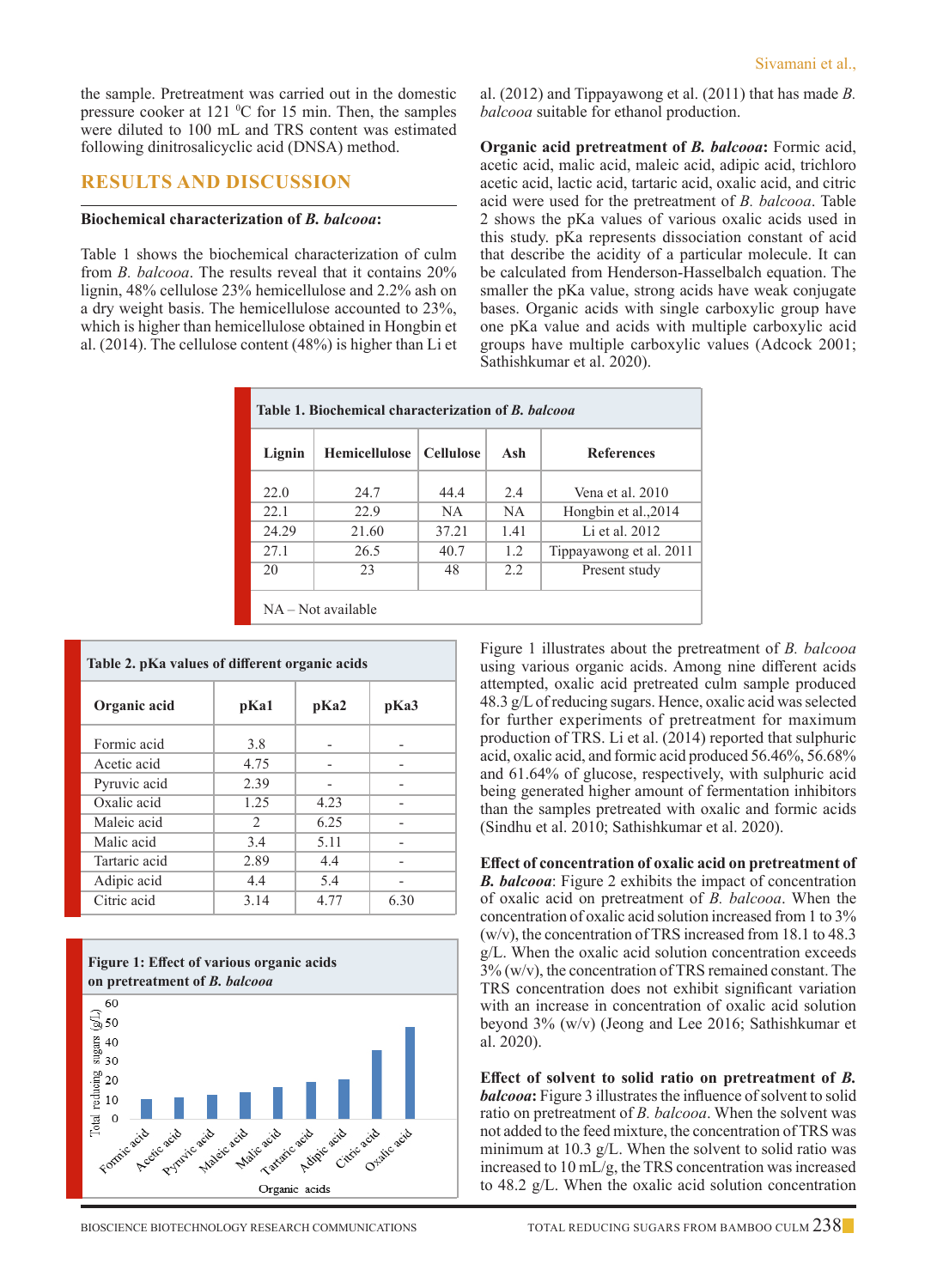the sample. Pretreatment was carried out in the domestic pressure cooker at  $121 \text{ °C}$  for 15 min. Then, the samples were diluted to 100 mL and TRS content was estimated following dinitrosalicyclic acid (DNSA) method.

### **Results and Discussion**

#### **Biochemical characterization of** *B. balcooa***:**

Table 1 shows the biochemical characterization of culm from *B. balcooa*. The results reveal that it contains 20% lignin, 48% cellulose 23% hemicellulose and 2.2% ash on a dry weight basis. The hemicellulose accounted to 23%, which is higher than hemicellulose obtained in Hongbin et al. (2014). The cellulose content (48%) is higher than Li et al. (2012) and Tippayawong et al. (2011) that has made *B. balcooa* suitable for ethanol production.

**Organic acid pretreatment of** *B. balcooa***:** Formic acid, acetic acid, malic acid, maleic acid, adipic acid, trichloro acetic acid, lactic acid, tartaric acid, oxalic acid, and citric acid were used for the pretreatment of *B. balcooa*. Table 2 shows the pKa values of various oxalic acids used in this study. pKa represents dissociation constant of acid that describe the acidity of a particular molecule. It can be calculated from Henderson-Hasselbalch equation. The smaller the pKa value, strong acids have weak conjugate bases. Organic acids with single carboxylic group have one pKa value and acids with multiple carboxylic acid groups have multiple carboxylic values (Adcock 2001; Sathishkumar et al. 2020).

| Table 1. Biochemical characterization of <i>B. balcooa</i> |                      |                  |           |                         |  |  |
|------------------------------------------------------------|----------------------|------------------|-----------|-------------------------|--|--|
| Lignin                                                     | Hemicellulose        | <b>Cellulose</b> | Ash       | <b>References</b>       |  |  |
| 22.0                                                       | 24.7                 | 44.4             | 2.4       | Vena et al. 2010        |  |  |
| 22.1                                                       | 22.9                 | NA.              | <b>NA</b> | Hongbin et al., 2014    |  |  |
| 24.29                                                      | 21.60                | 37.21            | 1.41      | Li et al. 2012.         |  |  |
| 27.1                                                       | 26.5                 | 40.7             | 1.2       | Tippayawong et al. 2011 |  |  |
| 20                                                         | 23                   | 48               | 2.2       | Present study           |  |  |
|                                                            | $NA - Not available$ |                  |           |                         |  |  |

| Table 2. pKa values of different organic acids |               |      |      |  |  |
|------------------------------------------------|---------------|------|------|--|--|
| Organic acid                                   | pKa1          | pKa2 | pKa3 |  |  |
| Formic acid                                    | 3.8           |      |      |  |  |
| Acetic acid                                    | 4.75          |      |      |  |  |
| Pyruvic acid                                   | 2.39          |      |      |  |  |
| Oxalic acid                                    | 1.25          | 4.23 |      |  |  |
| Maleic acid                                    | $\mathcal{D}$ | 6.25 |      |  |  |
| Malic acid                                     | 3.4           | 5.11 |      |  |  |
| Tartaric acid                                  | 2.89          | 4.4  |      |  |  |
| Adipic acid                                    | 4.4           | 5.4  |      |  |  |
| Citric acid                                    | 3.14          | 4.77 | 6.30 |  |  |



Figure 1 illustrates about the pretreatment of *B. balcooa*  using various organic acids. Among nine different acids attempted, oxalic acid pretreated culm sample produced 48.3 g/L of reducing sugars. Hence, oxalic acid was selected for further experiments of pretreatment for maximum production of TRS. Li et al. (2014) reported that sulphuric acid, oxalic acid, and formic acid produced 56.46%, 56.68% and 61.64% of glucose, respectively, with sulphuric acid being generated higher amount of fermentation inhibitors than the samples pretreated with oxalic and formic acids (Sindhu et al. 2010; Sathishkumar et al. 2020).

**Effect of concentration of oxalic acid on pretreatment of**  *B. balcooa*: Figure 2 exhibits the impact of concentration of oxalic acid on pretreatment of *B. balcooa*. When the concentration of oxalic acid solution increased from 1 to 3% (w/v), the concentration of TRS increased from 18.1 to 48.3 g/L. When the oxalic acid solution concentration exceeds 3% (w/v), the concentration of TRS remained constant. The TRS concentration does not exhibit significant variation with an increase in concentration of oxalic acid solution beyond 3% (w/v) (Jeong and Lee 2016; Sathishkumar et al. 2020).

**Effect of solvent to solid ratio on pretreatment of** *B. balcooa***:** Figure 3 illustrates the influence of solvent to solid ratio on pretreatment of *B. balcooa*. When the solvent was not added to the feed mixture, the concentration of TRS was minimum at 10.3 g/L. When the solvent to solid ratio was increased to 10 mL/g, the TRS concentration was increased to 48.2 g/L. When the oxalic acid solution concentration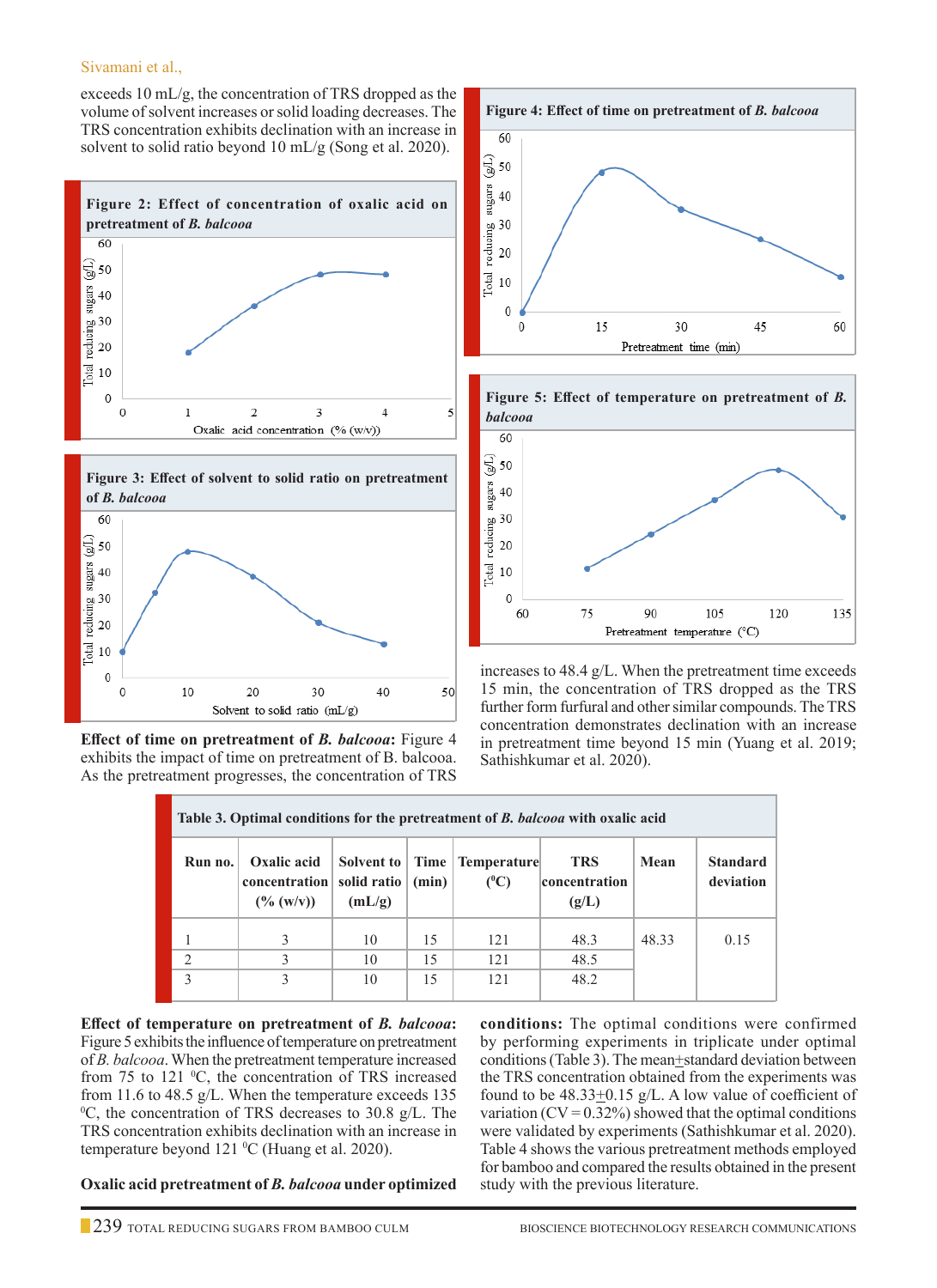### Sivamani et al.,

exceeds 10 mL/g, the concentration of TRS dropped as the volume of solvent increases or solid loading decreases. The TRS concentration exhibits declination with an increase in solvent to solid ratio beyond 10 mL/g (Song et al. 2020).







**Effect of time on pretreatment of** *B. balcooa***:** Figure 4 exhibits the impact of time on pretreatment of B. balcooa. As the pretreatment progresses, the concentration of TRS





increases to 48.4 g/L. When the pretreatment time exceeds 15 min, the concentration of TRS dropped as the TRS further form furfural and other similar compounds. The TRS concentration demonstrates declination with an increase in pretreatment time beyond 15 min (Yuang et al. 2019; Sathishkumar et al. 2020).

| Table 3. Optimal conditions for the pretreatment of B. balcooa with oxalic acid |                                                                                   |                      |          |                                 |                                      |       |                              |
|---------------------------------------------------------------------------------|-----------------------------------------------------------------------------------|----------------------|----------|---------------------------------|--------------------------------------|-------|------------------------------|
| Run no.                                                                         | Oxalic acid<br>concentration   solid ratio $ $ (min) $ $<br>$(\frac{6}{9} (w/v))$ | Solvent to<br>(mL/g) |          | Time   Temperature<br>$(^{0}C)$ | <b>TRS</b><br>concentration<br>(g/L) | Mean  | <b>Standard</b><br>deviation |
| $\mathcal{D}$                                                                   | 3<br>3                                                                            | 10<br>10             | 15<br>15 | 121<br>121                      | 48.3<br>48.5                         | 48.33 | 0.15                         |
| $\mathbf 3$                                                                     |                                                                                   | 10                   | 15       | 121                             | 48.2                                 |       |                              |

**Effect of temperature on pretreatment of** *B. balcooa***:** Figure 5 exhibits the influence of temperature on pretreatment of *B. balcooa*. When the pretreatment temperature increased from 75 to 121 °C, the concentration of TRS increased from 11.6 to 48.5 g/L. When the temperature exceeds 135 0 C, the concentration of TRS decreases to 30.8 g/L. The TRS concentration exhibits declination with an increase in temperature beyond 121 <sup>o</sup>C (Huang et al. 2020).

**Oxalic acid pretreatment of** *B. balcooa* **under optimized** 

**conditions:** The optimal conditions were confirmed by performing experiments in triplicate under optimal conditions (Table 3). The mean+standard deviation between the TRS concentration obtained from the experiments was found to be  $48.33 \pm 0.15$  g/L. A low value of coefficient of variation ( $CV = 0.32\%$ ) showed that the optimal conditions were validated by experiments (Sathishkumar et al. 2020). Table 4 shows the various pretreatment methods employed for bamboo and compared the results obtained in the present study with the previous literature.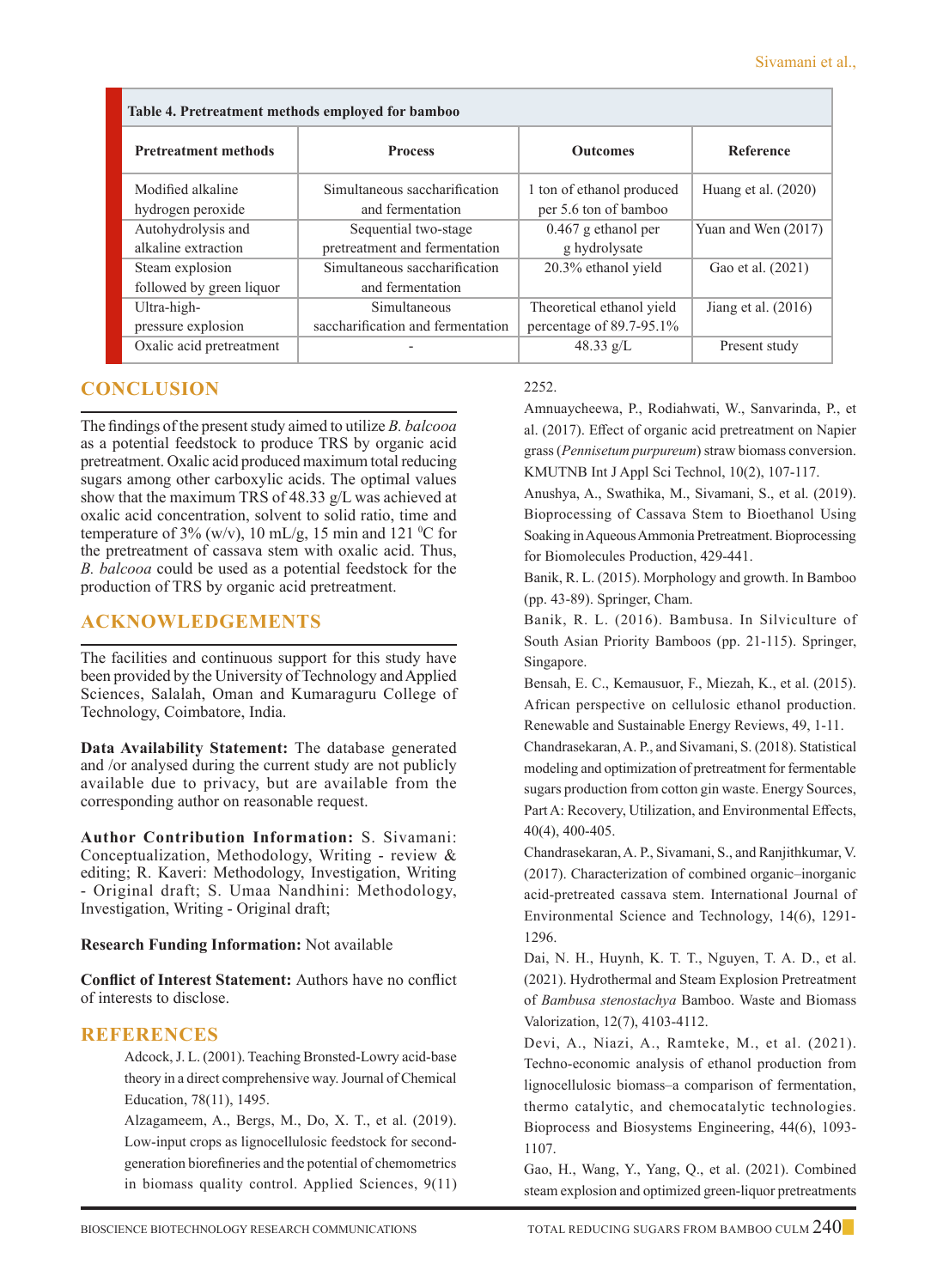| Table 4. Pretreatment methods employed for bamboo |                                   |                           |                       |  |  |  |
|---------------------------------------------------|-----------------------------------|---------------------------|-----------------------|--|--|--|
| <b>Pretreatment methods</b>                       | <b>Process</b>                    | <b>Outcomes</b>           | <b>Reference</b>      |  |  |  |
| Modified alkaline                                 | Simultaneous saccharification     | 1 ton of ethanol produced | Huang et al. $(2020)$ |  |  |  |
| hydrogen peroxide                                 | and fermentation                  | per 5.6 ton of bamboo     |                       |  |  |  |
| Autohydrolysis and                                | Sequential two-stage              | $0.467$ g ethanol per     | Yuan and Wen (2017)   |  |  |  |
| alkaline extraction                               | pretreatment and fermentation     | g hydrolysate             |                       |  |  |  |
| Steam explosion                                   | Simultaneous saccharification     | 20.3% ethanol yield       | Gao et al. (2021)     |  |  |  |
| followed by green liquor                          | and fermentation                  |                           |                       |  |  |  |
| Ultra-high-                                       | Simultaneous                      | Theoretical ethanol yield | Jiang et al. $(2016)$ |  |  |  |
| pressure explosion                                | saccharification and fermentation | percentage of 89.7-95.1%  |                       |  |  |  |
| Oxalic acid pretreatment                          |                                   | 48.33 $g/L$               | Present study         |  |  |  |

# **Conclusion**

The findings of the present study aimed to utilize *B. balcooa*  as a potential feedstock to produce TRS by organic acid pretreatment. Oxalic acid produced maximum total reducing sugars among other carboxylic acids. The optimal values show that the maximum TRS of 48.33 g/L was achieved at oxalic acid concentration, solvent to solid ratio, time and temperature of  $3\%$  (w/v), 10 mL/g, 15 min and 121 <sup>o</sup>C for the pretreatment of cassava stem with oxalic acid. Thus, *B. balcooa* could be used as a potential feedstock for the production of TRS by organic acid pretreatment.

# **Acknowledgements**

The facilities and continuous support for this study have been provided by the University of Technology and Applied Sciences, Salalah, Oman and Kumaraguru College of Technology, Coimbatore, India.

**Data Availability Statement:** The database generated and /or analysed during the current study are not publicly available due to privacy, but are available from the corresponding author on reasonable request.

**Author Contribution Information:** S. Sivamani: Conceptualization, Methodology, Writing - review & editing; R. Kaveri: Methodology, Investigation, Writing - Original draft; S. Umaa Nandhini: Methodology, Investigation, Writing - Original draft;

### **Research Funding Information:** Not available

**Conflict of Interest Statement:** Authors have no conflict of interests to disclose.

# **REFERENCES**

Adcock, J. L. (2001). Teaching Bronsted-Lowry acid-base theory in a direct comprehensive way. Journal of Chemical Education, 78(11), 1495.

Alzagameem, A., Bergs, M., Do, X. T., et al. (2019). Low-input crops as lignocellulosic feedstock for secondgeneration biorefineries and the potential of chemometrics in biomass quality control. Applied Sciences, 9(11)

### 2252.

Amnuaycheewa, P., Rodiahwati, W., Sanvarinda, P., et al. (2017). Effect of organic acid pretreatment on Napier grass (*Pennisetum purpureum*) straw biomass conversion. KMUTNB Int J Appl Sci Technol, 10(2), 107-117.

Anushya, A., Swathika, M., Sivamani, S., et al. (2019). Bioprocessing of Cassava Stem to Bioethanol Using Soaking in Aqueous Ammonia Pretreatment. Bioprocessing for Biomolecules Production, 429-441.

Banik, R. L. (2015). Morphology and growth. In Bamboo (pp. 43-89). Springer, Cham.

Banik, R. L. (2016). Bambusa. In Silviculture of South Asian Priority Bamboos (pp. 21-115). Springer, Singapore.

Bensah, E. C., Kemausuor, F., Miezah, K., et al. (2015). African perspective on cellulosic ethanol production. Renewable and Sustainable Energy Reviews, 49, 1-11.

Chandrasekaran, A. P., and Sivamani, S. (2018). Statistical modeling and optimization of pretreatment for fermentable sugars production from cotton gin waste. Energy Sources, Part A: Recovery, Utilization, and Environmental Effects, 40(4), 400-405.

Chandrasekaran, A. P., Sivamani, S., and Ranjithkumar, V. (2017). Characterization of combined organic–inorganic acid-pretreated cassava stem. International Journal of Environmental Science and Technology, 14(6), 1291- 1296.

Dai, N. H., Huynh, K. T. T., Nguyen, T. A. D., et al. (2021). Hydrothermal and Steam Explosion Pretreatment of *Bambusa stenostachya* Bamboo. Waste and Biomass Valorization, 12(7), 4103-4112.

Devi, A., Niazi, A., Ramteke, M., et al. (2021). Techno-economic analysis of ethanol production from lignocellulosic biomass–a comparison of fermentation, thermo catalytic, and chemocatalytic technologies. Bioprocess and Biosystems Engineering, 44(6), 1093- 1107.

 Gao, H., Wang, Y., Yang, Q., et al. (2021). Combined steam explosion and optimized green-liquor pretreatments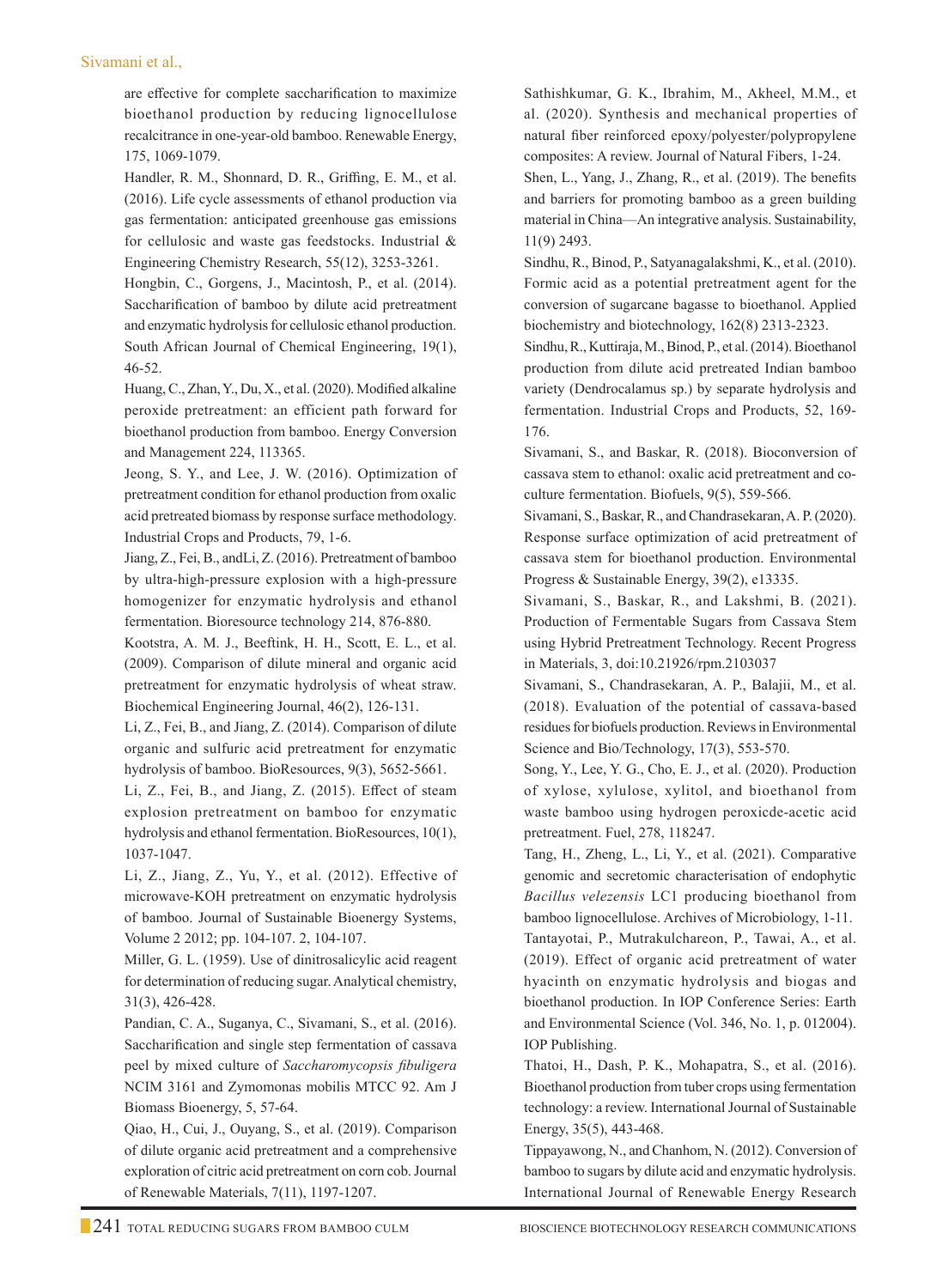### Sivamani et al.,

are effective for complete saccharification to maximize bioethanol production by reducing lignocellulose recalcitrance in one-year-old bamboo. Renewable Energy, 175, 1069-1079.

Handler, R. M., Shonnard, D. R., Griffing, E. M., et al. (2016). Life cycle assessments of ethanol production via gas fermentation: anticipated greenhouse gas emissions for cellulosic and waste gas feedstocks. Industrial & Engineering Chemistry Research, 55(12), 3253-3261.

Hongbin, C., Gorgens, J., Macintosh, P., et al. (2014). Saccharification of bamboo by dilute acid pretreatment and enzymatic hydrolysis for cellulosic ethanol production. South African Journal of Chemical Engineering, 19(1), 46-52.

Huang, C., Zhan, Y., Du, X., et al. (2020). Modified alkaline peroxide pretreatment: an efficient path forward for bioethanol production from bamboo. Energy Conversion and Management 224, 113365.

Jeong, S. Y., and Lee, J. W. (2016). Optimization of pretreatment condition for ethanol production from oxalic acid pretreated biomass by response surface methodology. Industrial Crops and Products, 79, 1-6.

Jiang, Z., Fei, B., andLi, Z. (2016). Pretreatment of bamboo by ultra-high-pressure explosion with a high-pressure homogenizer for enzymatic hydrolysis and ethanol fermentation. Bioresource technology 214, 876-880.

Kootstra, A. M. J., Beeftink, H. H., Scott, E. L., et al. (2009). Comparison of dilute mineral and organic acid pretreatment for enzymatic hydrolysis of wheat straw. Biochemical Engineering Journal, 46(2), 126-131.

Li, Z., Fei, B., and Jiang, Z. (2014). Comparison of dilute organic and sulfuric acid pretreatment for enzymatic hydrolysis of bamboo. BioResources, 9(3), 5652-5661.

Li, Z., Fei, B., and Jiang, Z. (2015). Effect of steam explosion pretreatment on bamboo for enzymatic hydrolysis and ethanol fermentation. BioResources, 10(1), 1037-1047.

Li, Z., Jiang, Z., Yu, Y., et al. (2012). Effective of microwave-KOH pretreatment on enzymatic hydrolysis of bamboo. Journal of Sustainable Bioenergy Systems, Volume 2 2012; pp. 104-107. 2, 104-107.

 Miller, G. L. (1959). Use of dinitrosalicylic acid reagent for determination of reducing sugar. Analytical chemistry, 31(3), 426-428.

Pandian, C. A., Suganya, C., Sivamani, S., et al. (2016). Saccharification and single step fermentation of cassava peel by mixed culture of *Saccharomycopsis fibuligera* NCIM 3161 and Zymomonas mobilis MTCC 92. Am J Biomass Bioenergy, 5, 57-64.

Qiao, H., Cui, J., Ouyang, S., et al. (2019). Comparison of dilute organic acid pretreatment and a comprehensive exploration of citric acid pretreatment on corn cob. Journal of Renewable Materials, 7(11), 1197-1207.

Sathishkumar, G. K., Ibrahim, M., Akheel, M.M., et al. (2020). Synthesis and mechanical properties of natural fiber reinforced epoxy/polyester/polypropylene composites: A review. Journal of Natural Fibers, 1-24.

Shen, L., Yang, J., Zhang, R., et al. (2019). The benefits and barriers for promoting bamboo as a green building material in China—An integrative analysis. Sustainability, 11(9) 2493.

Sindhu, R., Binod, P., Satyanagalakshmi, K., et al. (2010). Formic acid as a potential pretreatment agent for the conversion of sugarcane bagasse to bioethanol. Applied biochemistry and biotechnology, 162(8) 2313-2323.

Sindhu, R., Kuttiraja, M., Binod, P., et al. (2014). Bioethanol production from dilute acid pretreated Indian bamboo variety (Dendrocalamus sp.) by separate hydrolysis and fermentation. Industrial Crops and Products, 52, 169- 176.

Sivamani, S., and Baskar, R. (2018). Bioconversion of cassava stem to ethanol: oxalic acid pretreatment and coculture fermentation. Biofuels, 9(5), 559-566.

Sivamani, S., Baskar, R., and Chandrasekaran, A. P. (2020). Response surface optimization of acid pretreatment of cassava stem for bioethanol production. Environmental Progress & Sustainable Energy, 39(2), e13335.

Sivamani, S., Baskar, R., and Lakshmi, B. (2021). Production of Fermentable Sugars from Cassava Stem using Hybrid Pretreatment Technology. Recent Progress in Materials, 3, doi:10.21926/rpm.2103037

Sivamani, S., Chandrasekaran, A. P., Balajii, M., et al. (2018). Evaluation of the potential of cassava-based residues for biofuels production. Reviews in Environmental Science and Bio/Technology, 17(3), 553-570.

Song, Y., Lee, Y. G., Cho, E. J., et al. (2020). Production of xylose, xylulose, xylitol, and bioethanol from waste bamboo using hydrogen peroxicde-acetic acid pretreatment. Fuel, 278, 118247.

Tang, H., Zheng, L., Li, Y., et al. (2021). Comparative genomic and secretomic characterisation of endophytic *Bacillus velezensis* LC1 producing bioethanol from bamboo lignocellulose. Archives of Microbiology, 1-11. Tantayotai, P., Mutrakulchareon, P., Tawai, A., et al.

(2019). Effect of organic acid pretreatment of water hyacinth on enzymatic hydrolysis and biogas and bioethanol production. In IOP Conference Series: Earth and Environmental Science (Vol. 346, No. 1, p. 012004). IOP Publishing.

Thatoi, H., Dash, P. K., Mohapatra, S., et al. (2016). Bioethanol production from tuber crops using fermentation technology: a review. International Journal of Sustainable Energy, 35(5), 443-468.

Tippayawong, N., and Chanhom, N. (2012). Conversion of bamboo to sugars by dilute acid and enzymatic hydrolysis. International Journal of Renewable Energy Research